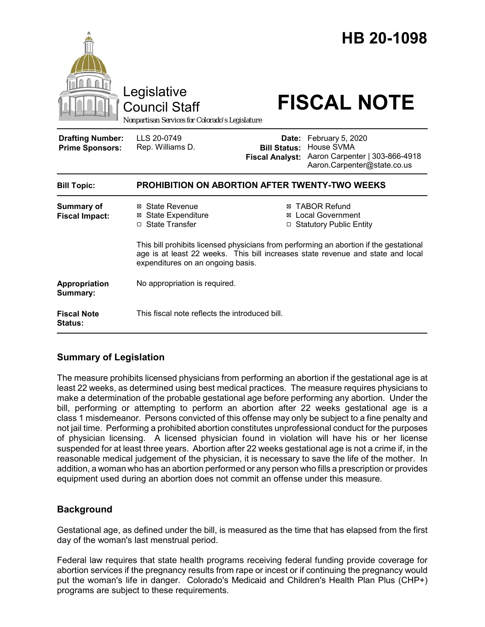|                                                   | Legislative<br><b>Council Staff</b><br>Nonpartisan Services for Colorado's Legislature                                                                                                                         |                                                                          | HB 20-1098<br><b>FISCAL NOTE</b>                                                                      |  |
|---------------------------------------------------|----------------------------------------------------------------------------------------------------------------------------------------------------------------------------------------------------------------|--------------------------------------------------------------------------|-------------------------------------------------------------------------------------------------------|--|
| <b>Drafting Number:</b><br><b>Prime Sponsors:</b> | LLS 20-0749<br>Rep. Williams D.                                                                                                                                                                                | <b>Bill Status:</b><br><b>Fiscal Analyst:</b>                            | Date: February 5, 2020<br>House SVMA<br>Aaron Carpenter   303-866-4918<br>Aaron.Carpenter@state.co.us |  |
| <b>Bill Topic:</b>                                | <b>PROHIBITION ON ABORTION AFTER TWENTY-TWO WEEKS</b>                                                                                                                                                          |                                                                          |                                                                                                       |  |
| <b>Summary of</b><br><b>Fiscal Impact:</b>        | ⊠ State Revenue<br><b>⊠</b> State Expenditure<br>□ State Transfer                                                                                                                                              | ⊠ TABOR Refund<br><b>⊠</b> Local Government<br>□ Statutory Public Entity |                                                                                                       |  |
|                                                   | This bill prohibits licensed physicians from performing an abortion if the gestational<br>age is at least 22 weeks. This bill increases state revenue and state and local<br>expenditures on an ongoing basis. |                                                                          |                                                                                                       |  |
| Appropriation<br>Summary:                         | No appropriation is required.                                                                                                                                                                                  |                                                                          |                                                                                                       |  |
| <b>Fiscal Note</b><br><b>Status:</b>              | This fiscal note reflects the introduced bill.                                                                                                                                                                 |                                                                          |                                                                                                       |  |

# **Summary of Legislation**

The measure prohibits licensed physicians from performing an abortion if the gestational age is at least 22 weeks, as determined using best medical practices. The measure requires physicians to make a determination of the probable gestational age before performing any abortion. Under the bill, performing or attempting to perform an abortion after 22 weeks gestational age is a class 1 misdemeanor. Persons convicted of this offense may only be subject to a fine penalty and not jail time. Performing a prohibited abortion constitutes unprofessional conduct for the purposes of physician licensing. A licensed physician found in violation will have his or her license suspended for at least three years. Abortion after 22 weeks gestational age is not a crime if, in the reasonable medical judgement of the physician, it is necessary to save the life of the mother. In addition, a woman who has an abortion performed or any person who fills a prescription or provides equipment used during an abortion does not commit an offense under this measure.

# **Background**

Gestational age, as defined under the bill, is measured as the time that has elapsed from the first day of the woman's last menstrual period.

Federal law requires that state health programs receiving federal funding provide coverage for abortion services if the pregnancy results from rape or incest or if continuing the pregnancy would put the woman's life in danger. Colorado's Medicaid and Children's Health Plan Plus (CHP+) programs are subject to these requirements.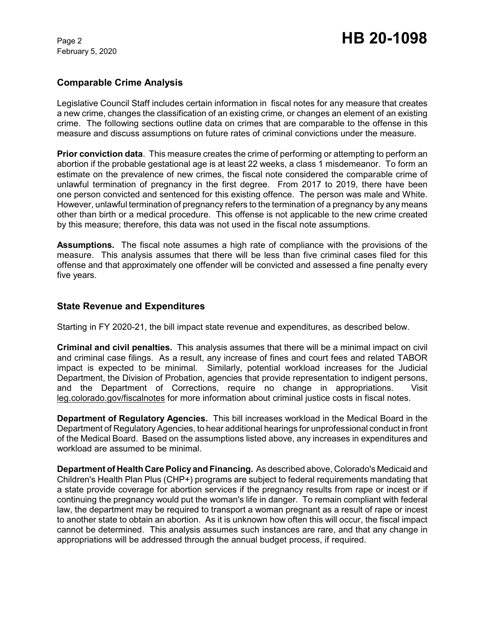February 5, 2020

# **Comparable Crime Analysis**

Legislative Council Staff includes certain information in fiscal notes for any measure that creates a new crime, changes the classification of an existing crime, or changes an element of an existing crime. The following sections outline data on crimes that are comparable to the offense in this measure and discuss assumptions on future rates of criminal convictions under the measure.

**Prior conviction data**. This measure creates the crime of performing or attempting to perform an abortion if the probable gestational age is at least 22 weeks, a class 1 misdemeanor. To form an estimate on the prevalence of new crimes, the fiscal note considered the comparable crime of unlawful termination of pregnancy in the first degree. From 2017 to 2019, there have been one person convicted and sentenced for this existing offence. The person was male and White. However, unlawful termination of pregnancy refers to the termination of a pregnancy by any means other than birth or a medical procedure. This offense is not applicable to the new crime created by this measure; therefore, this data was not used in the fiscal note assumptions.

**Assumptions.** The fiscal note assumes a high rate of compliance with the provisions of the measure. This analysis assumes that there will be less than five criminal cases filed for this offense and that approximately one offender will be convicted and assessed a fine penalty every five years.

## **State Revenue and Expenditures**

Starting in FY 2020-21, the bill impact state revenue and expenditures, as described below.

**Criminal and civil penalties.** This analysis assumes that there will be a minimal impact on civil and criminal case filings. As a result, any increase of fines and court fees and related TABOR impact is expected to be minimal. Similarly, potential workload increases for the Judicial Department, the Division of Probation, agencies that provide representation to indigent persons, and the Department of Corrections, require no change in appropriations. Visit leg.colorado.gov/fiscalnotes for more information about criminal justice costs in fiscal notes.

**Department of Regulatory Agencies.** This bill increases workload in the Medical Board in the Department of Regulatory Agencies, to hear additional hearings for unprofessional conduct in front of the Medical Board. Based on the assumptions listed above, any increases in expenditures and workload are assumed to be minimal.

**Department of Health Care Policy and Financing.** As described above, Colorado's Medicaid and Children's Health Plan Plus (CHP+) programs are subject to federal requirements mandating that a state provide coverage for abortion services if the pregnancy results from rape or incest or if continuing the pregnancy would put the woman's life in danger. To remain compliant with federal law, the department may be required to transport a woman pregnant as a result of rape or incest to another state to obtain an abortion. As it is unknown how often this will occur, the fiscal impact cannot be determined. This analysis assumes such instances are rare, and that any change in appropriations will be addressed through the annual budget process, if required.